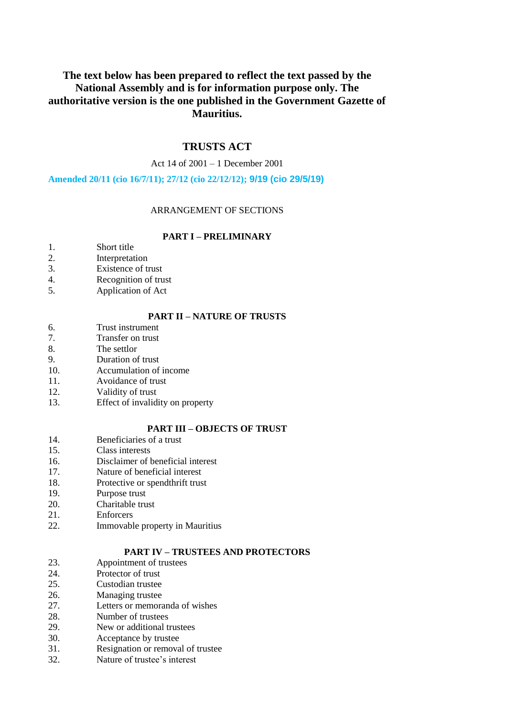# **The text below has been prepared to reflect the text passed by the National Assembly and is for information purpose only. The authoritative version is the one published in the Government Gazette of Mauritius.**

# **TRUSTS ACT**

Act 14 of 2001 – 1 December 2001

**Amended 20/11 (cio 16/7/11); 27/12 (cio 22/12/12); 9/19 (cio 29/5/19)**

# ARRANGEMENT OF SECTIONS

### **PART I – PRELIMINARY**

- 1. Short title
- 2. Interpretation
- 3. Existence of trust
- 4. Recognition of trust
- 5. Application of Act

# **PART II – NATURE OF TRUSTS**

- 6. Trust instrument
- 7. Transfer on trust
- 8. The settlor
- 9. Duration of trust
- 10. Accumulation of income
- 11. Avoidance of trust
- 12. Validity of trust
- 13. Effect of invalidity on property

### **PART III – OBJECTS OF TRUST**

- 14. Beneficiaries of a trust
- 15. Class interests
- 16. Disclaimer of beneficial interest
- 17. Nature of beneficial interest
- 18. Protective or spendthrift trust
- 19. Purpose trust
- 20. Charitable trust
- 21. Enforcers
- 22. Immovable property in Mauritius

### **PART IV – TRUSTEES AND PROTECTORS**

- 23. Appointment of trustees
- 24. Protector of trust
- 25. Custodian trustee
- 26. Managing trustee
- 27. Letters or memoranda of wishes
- 28. Number of trustees
- 29. New or additional trustees
- 30. Acceptance by trustee
- 31. Resignation or removal of trustee
- 32. Nature of trustee's interest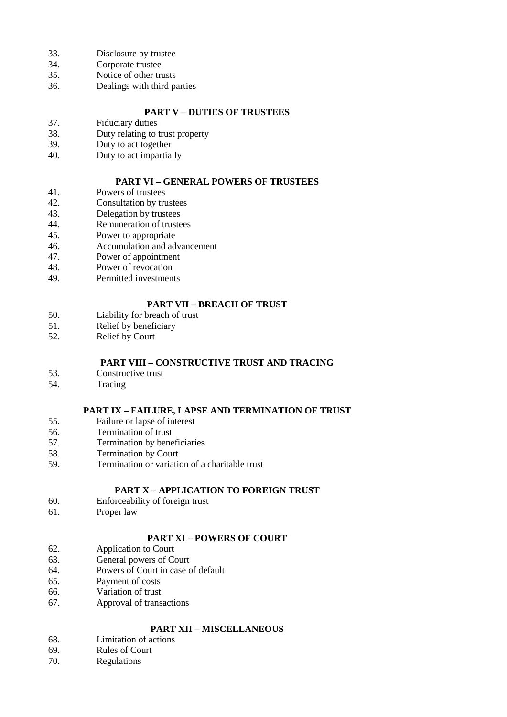- 33. Disclosure by trustee
- 34. Corporate trustee
- 35. Notice of other trusts
- 36. Dealings with third parties

### **PART V – DUTIES OF TRUSTEES**

- 37. Fiduciary duties
- 38. Duty relating to trust property<br>39. Duty to act together
- Duty to act together
- 40. Duty to act impartially

# **PART VI – GENERAL POWERS OF TRUSTEES**

- 41. Powers of trustees
- 42. Consultation by trustees<br>43 Delegation by trustees
- 43. Delegation by trustees<br>44. Remuneration of truste
- 44. Remuneration of trustees<br>45. Power to appropriate
- Power to appropriate
- 46. Accumulation and advancement
- 47. Power of appointment
- 48. Power of revocation
- 49. Permitted investments

# **PART VII – BREACH OF TRUST**

- 50. Liability for breach of trust<br>51. Relief by beneficiary
- Relief by beneficiary
- 52. Relief by Court

# **PART VIII – CONSTRUCTIVE TRUST AND TRACING**

- 53. Constructive trust
- 54. Tracing

### **PART IX – FAILURE, LAPSE AND TERMINATION OF TRUST**

- 55. Failure or lapse of interest
- 56. Termination of trust
- 57. Termination by beneficiaries
- 58. Termination by Court
- 59. Termination or variation of a charitable trust

# **PART X – APPLICATION TO FOREIGN TRUST**

- 60. Enforceability of foreign trust
- 61. Proper law

# **PART XI – POWERS OF COURT**

- 62. Application to Court
- 63. General powers of Court
- 64. Powers of Court in case of default
- 65. Payment of costs
- 66. Variation of trust
- 67. Approval of transactions

# **PART XII – MISCELLANEOUS**

- 68. Limitation of actions
- 69. Rules of Court
- 70. Regulations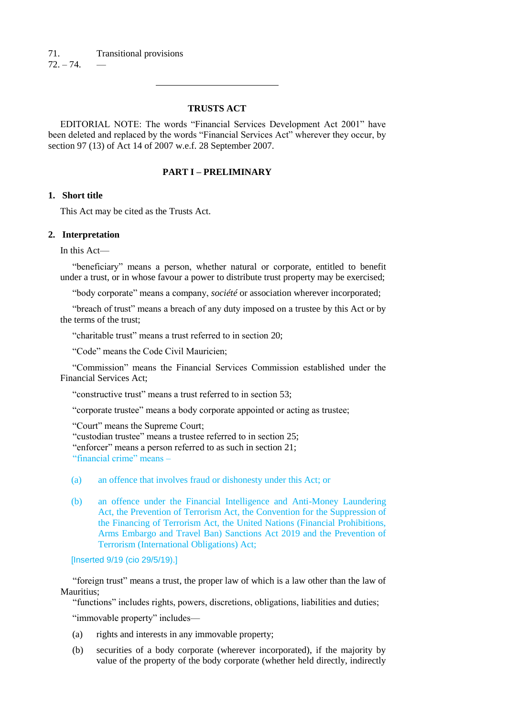# **TRUSTS ACT**

EDITORIAL NOTE: The words "Financial Services Development Act 2001" have been deleted and replaced by the words "Financial Services Act" wherever they occur, by section 97 (13) of Act 14 of 2007 w.e.f. 28 September 2007.

# **PART I – PRELIMINARY**

# **1. Short title**

This Act may be cited as the Trusts Act.

#### **2. Interpretation**

In this Act—

"beneficiary" means a person, whether natural or corporate, entitled to benefit under a trust, or in whose favour a power to distribute trust property may be exercised;

"body corporate" means a company, *société* or association wherever incorporated;

"breach of trust" means a breach of any duty imposed on a trustee by this Act or by the terms of the trust;

"charitable trust" means a trust referred to in section 20;

"Code" means the Code Civil Mauricien;

"Commission" means the Financial Services Commission established under the Financial Services Act;

"constructive trust" means a trust referred to in section 53;

"corporate trustee" means a body corporate appointed or acting as trustee;

"Court" means the Supreme Court;

"custodian trustee" means a trustee referred to in section 25;

"enforcer" means a person referred to as such in section 21;

"financial crime" means –

- (a) an offence that involves fraud or dishonesty under this Act; or
- (b) an offence under the Financial Intelligence and Anti-Money Laundering Act, the Prevention of Terrorism Act, the Convention for the Suppression of the Financing of Terrorism Act, the United Nations (Financial Prohibitions, Arms Embargo and Travel Ban) Sanctions Act 2019 and the Prevention of Terrorism (International Obligations) Act;

[Inserted 9/19 (cio 29/5/19).]

"foreign trust" means a trust, the proper law of which is a law other than the law of Mauritius;

"functions" includes rights, powers, discretions, obligations, liabilities and duties;

"immovable property" includes—

- (a) rights and interests in any immovable property;
- (b) securities of a body corporate (wherever incorporated), if the majority by value of the property of the body corporate (whether held directly, indirectly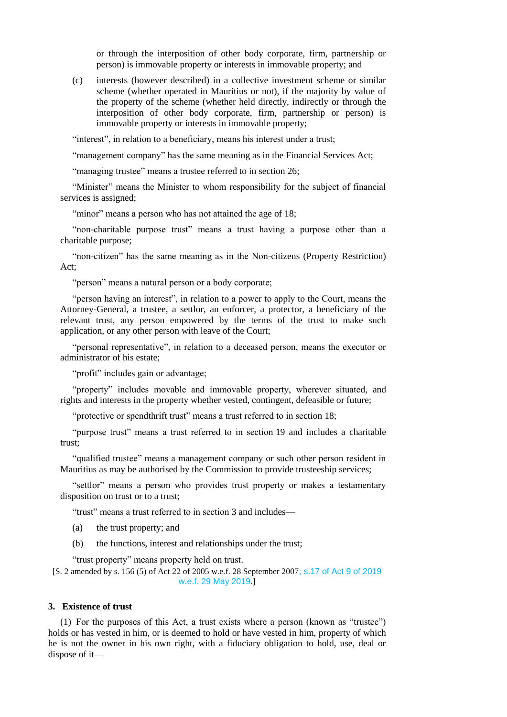or through the interposition of other body corporate, firm, partnership or person) is immovable property or interests in immovable property; and

(c) interests (however described) in a collective investment scheme or similar scheme (whether operated in Mauritius or not), if the majority by value of the property of the scheme (whether held directly, indirectly or through the interposition of other body corporate, firm, partnership or person) is immovable property or interests in immovable property;

"interest", in relation to a beneficiary, means his interest under a trust;

"management company" has the same meaning as in the Financial Services Act;

"managing trustee" means a trustee referred to in section 26;

"Minister" means the Minister to whom responsibility for the subject of financial services is assigned;

"minor" means a person who has not attained the age of 18;

"non-charitable purpose trust" means a trust having a purpose other than a charitable purpose;

"non-citizen" has the same meaning as in the Non-citizens (Property Restriction) Act;

"person" means a natural person or a body corporate;

"person having an interest", in relation to a power to apply to the Court, means the Attorney-General, a trustee, a settlor, an enforcer, a protector, a beneficiary of the relevant trust, any person empowered by the terms of the trust to make such application, or any other person with leave of the Court;

"personal representative", in relation to a deceased person, means the executor or administrator of his estate;

"profit" includes gain or advantage;

"property" includes movable and immovable property, wherever situated, and rights and interests in the property whether vested, contingent, defeasible or future;

"protective or spendthrift trust" means a trust referred to in section 18;

"purpose trust" means a trust referred to in section 19 and includes a charitable trust;

"qualified trustee" means a management company or such other person resident in Mauritius as may be authorised by the Commission to provide trusteeship services;

"settlor" means a person who provides trust property or makes a testamentary disposition on trust or to a trust;

"trust" means a trust referred to in section 3 and includes—

(a) the trust property; and

(b) the functions, interest and relationships under the trust;

"trust property" means property held on trust.

[S. 2 amended by s. 156 (5) of Act 22 of 2005 w.e.f. 28 September 2007; s.17 of Act 9 of 2019 w.e.f. 29 May 2019.]

#### **3. Existence of trust**

(1) For the purposes of this Act, a trust exists where a person (known as "trustee") holds or has vested in him, or is deemed to hold or have vested in him, property of which he is not the owner in his own right, with a fiduciary obligation to hold, use, deal or dispose of it—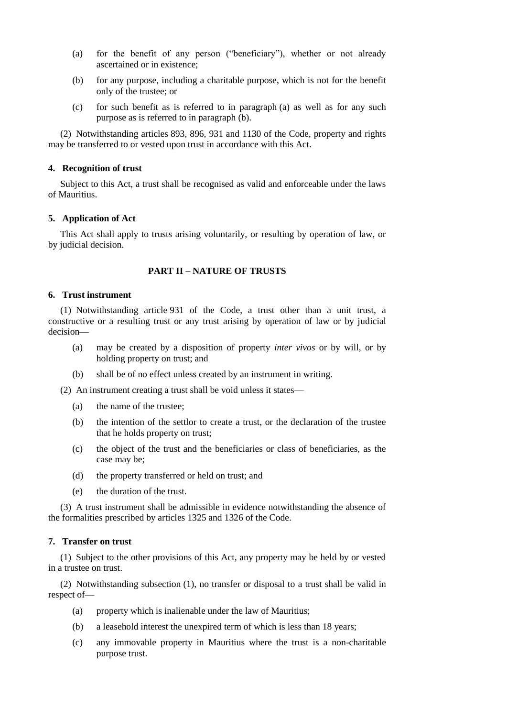- (a) for the benefit of any person ("beneficiary"), whether or not already ascertained or in existence;
- (b) for any purpose, including a charitable purpose, which is not for the benefit only of the trustee; or
- (c) for such benefit as is referred to in paragraph (a) as well as for any such purpose as is referred to in paragraph (b).

(2) Notwithstanding articles 893, 896, 931 and 1130 of the Code, property and rights may be transferred to or vested upon trust in accordance with this Act.

## **4. Recognition of trust**

Subject to this Act, a trust shall be recognised as valid and enforceable under the laws of Mauritius.

### **5. Application of Act**

This Act shall apply to trusts arising voluntarily, or resulting by operation of law, or by judicial decision.

# **PART II – NATURE OF TRUSTS**

### **6. Trust instrument**

(1) Notwithstanding article 931 of the Code, a trust other than a unit trust, a constructive or a resulting trust or any trust arising by operation of law or by judicial decision—

- (a) may be created by a disposition of property *inter vivos* or by will, or by holding property on trust; and
- (b) shall be of no effect unless created by an instrument in writing.

(2) An instrument creating a trust shall be void unless it states—

- (a) the name of the trustee;
- (b) the intention of the settlor to create a trust, or the declaration of the trustee that he holds property on trust;
- (c) the object of the trust and the beneficiaries or class of beneficiaries, as the case may be;
- (d) the property transferred or held on trust; and
- (e) the duration of the trust.

(3) A trust instrument shall be admissible in evidence notwithstanding the absence of the formalities prescribed by articles 1325 and 1326 of the Code.

# **7. Transfer on trust**

(1) Subject to the other provisions of this Act, any property may be held by or vested in a trustee on trust.

(2) Notwithstanding subsection (1), no transfer or disposal to a trust shall be valid in respect of—

- (a) property which is inalienable under the law of Mauritius;
- (b) a leasehold interest the unexpired term of which is less than 18 years;
- (c) any immovable property in Mauritius where the trust is a non-charitable purpose trust.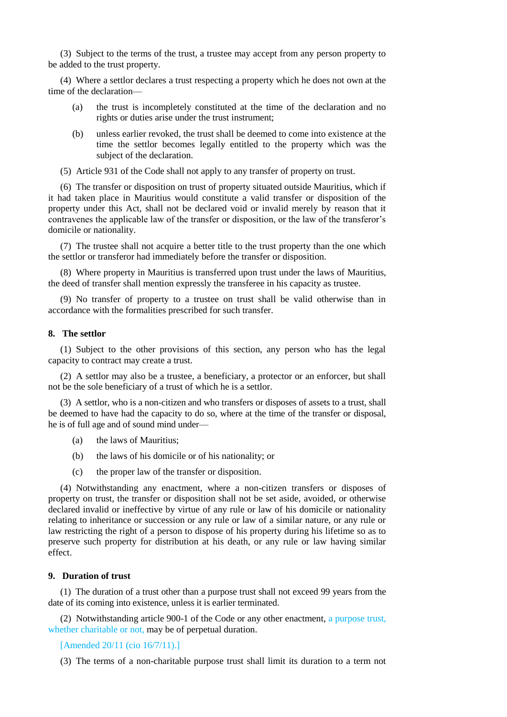(3) Subject to the terms of the trust, a trustee may accept from any person property to be added to the trust property.

(4) Where a settlor declares a trust respecting a property which he does not own at the time of the declaration—

- (a) the trust is incompletely constituted at the time of the declaration and no rights or duties arise under the trust instrument;
- (b) unless earlier revoked, the trust shall be deemed to come into existence at the time the settlor becomes legally entitled to the property which was the subject of the declaration.
- (5) Article 931 of the Code shall not apply to any transfer of property on trust.

(6) The transfer or disposition on trust of property situated outside Mauritius, which if it had taken place in Mauritius would constitute a valid transfer or disposition of the property under this Act, shall not be declared void or invalid merely by reason that it contravenes the applicable law of the transfer or disposition, or the law of the transferor's domicile or nationality.

(7) The trustee shall not acquire a better title to the trust property than the one which the settlor or transferor had immediately before the transfer or disposition.

(8) Where property in Mauritius is transferred upon trust under the laws of Mauritius, the deed of transfer shall mention expressly the transferee in his capacity as trustee.

(9) No transfer of property to a trustee on trust shall be valid otherwise than in accordance with the formalities prescribed for such transfer.

# **8. The settlor**

(1) Subject to the other provisions of this section, any person who has the legal capacity to contract may create a trust.

(2) A settlor may also be a trustee, a beneficiary, a protector or an enforcer, but shall not be the sole beneficiary of a trust of which he is a settlor.

(3) A settlor, who is a non-citizen and who transfers or disposes of assets to a trust, shall be deemed to have had the capacity to do so, where at the time of the transfer or disposal, he is of full age and of sound mind under—

- (a) the laws of Mauritius;
- (b) the laws of his domicile or of his nationality; or
- (c) the proper law of the transfer or disposition.

(4) Notwithstanding any enactment, where a non-citizen transfers or disposes of property on trust, the transfer or disposition shall not be set aside, avoided, or otherwise declared invalid or ineffective by virtue of any rule or law of his domicile or nationality relating to inheritance or succession or any rule or law of a similar nature, or any rule or law restricting the right of a person to dispose of his property during his lifetime so as to preserve such property for distribution at his death, or any rule or law having similar effect.

#### **9. Duration of trust**

(1) The duration of a trust other than a purpose trust shall not exceed 99 years from the date of its coming into existence, unless it is earlier terminated.

(2) Notwithstanding article 900-1 of the Code or any other enactment, a purpose trust, whether charitable or not, may be of perpetual duration.

[Amended 20/11 (cio 16/7/11).]

(3) The terms of a non-charitable purpose trust shall limit its duration to a term not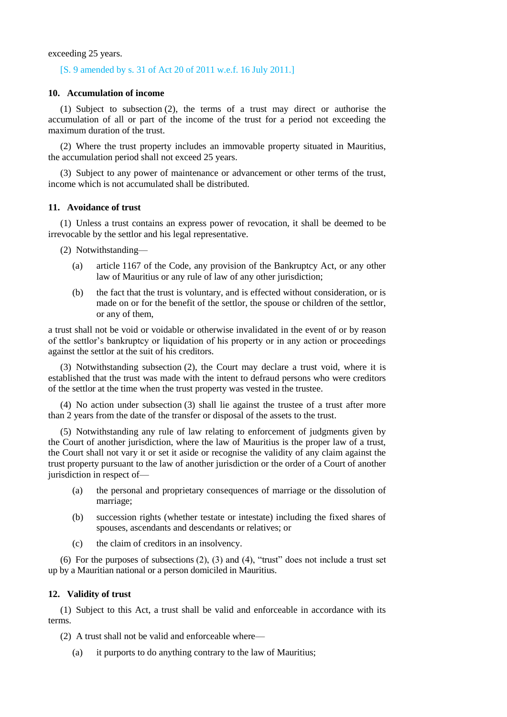exceeding 25 years.

### [S. 9 amended by s. 31 of Act 20 of 2011 w.e.f. 16 July 2011.]

#### **10. Accumulation of income**

(1) Subject to subsection (2), the terms of a trust may direct or authorise the accumulation of all or part of the income of the trust for a period not exceeding the maximum duration of the trust.

(2) Where the trust property includes an immovable property situated in Mauritius, the accumulation period shall not exceed 25 years.

(3) Subject to any power of maintenance or advancement or other terms of the trust, income which is not accumulated shall be distributed.

#### **11. Avoidance of trust**

(1) Unless a trust contains an express power of revocation, it shall be deemed to be irrevocable by the settlor and his legal representative.

(2) Notwithstanding—

- (a) article 1167 of the Code, any provision of the Bankruptcy Act, or any other law of Mauritius or any rule of law of any other jurisdiction;
- (b) the fact that the trust is voluntary, and is effected without consideration, or is made on or for the benefit of the settlor, the spouse or children of the settlor, or any of them,

a trust shall not be void or voidable or otherwise invalidated in the event of or by reason of the settlor's bankruptcy or liquidation of his property or in any action or proceedings against the settlor at the suit of his creditors.

(3) Notwithstanding subsection (2), the Court may declare a trust void, where it is established that the trust was made with the intent to defraud persons who were creditors of the settlor at the time when the trust property was vested in the trustee.

(4) No action under subsection (3) shall lie against the trustee of a trust after more than 2 years from the date of the transfer or disposal of the assets to the trust.

(5) Notwithstanding any rule of law relating to enforcement of judgments given by the Court of another jurisdiction, where the law of Mauritius is the proper law of a trust, the Court shall not vary it or set it aside or recognise the validity of any claim against the trust property pursuant to the law of another jurisdiction or the order of a Court of another jurisdiction in respect of—

- (a) the personal and proprietary consequences of marriage or the dissolution of marriage;
- (b) succession rights (whether testate or intestate) including the fixed shares of spouses, ascendants and descendants or relatives; or
- (c) the claim of creditors in an insolvency.

(6) For the purposes of subsections (2), (3) and (4), "trust" does not include a trust set up by a Mauritian national or a person domiciled in Mauritius.

#### **12. Validity of trust**

(1) Subject to this Act, a trust shall be valid and enforceable in accordance with its terms.

(2) A trust shall not be valid and enforceable where—

(a) it purports to do anything contrary to the law of Mauritius;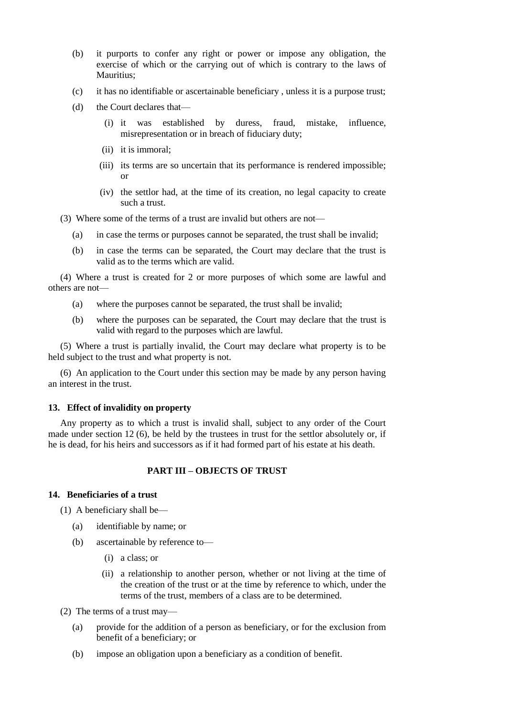- (b) it purports to confer any right or power or impose any obligation, the exercise of which or the carrying out of which is contrary to the laws of Mauritius;
- (c) it has no identifiable or ascertainable beneficiary , unless it is a purpose trust;
- (d) the Court declares that—
	- (i) it was established by duress, fraud, mistake, influence, misrepresentation or in breach of fiduciary duty;
	- (ii) it is immoral;
	- (iii) its terms are so uncertain that its performance is rendered impossible; or
	- (iv) the settlor had, at the time of its creation, no legal capacity to create such a trust.

(3) Where some of the terms of a trust are invalid but others are not—

- (a) in case the terms or purposes cannot be separated, the trust shall be invalid;
- (b) in case the terms can be separated, the Court may declare that the trust is valid as to the terms which are valid.

(4) Where a trust is created for 2 or more purposes of which some are lawful and others are not—

- (a) where the purposes cannot be separated, the trust shall be invalid;
- (b) where the purposes can be separated, the Court may declare that the trust is valid with regard to the purposes which are lawful.

(5) Where a trust is partially invalid, the Court may declare what property is to be held subject to the trust and what property is not.

(6) An application to the Court under this section may be made by any person having an interest in the trust.

# **13. Effect of invalidity on property**

Any property as to which a trust is invalid shall, subject to any order of the Court made under section 12 (6), be held by the trustees in trust for the settlor absolutely or, if he is dead, for his heirs and successors as if it had formed part of his estate at his death.

# **PART III – OBJECTS OF TRUST**

#### **14. Beneficiaries of a trust**

(1) A beneficiary shall be—

- (a) identifiable by name; or
- (b) ascertainable by reference to—
	- (i) a class; or
	- (ii) a relationship to another person, whether or not living at the time of the creation of the trust or at the time by reference to which, under the terms of the trust, members of a class are to be determined.
- (2) The terms of a trust may—
	- (a) provide for the addition of a person as beneficiary, or for the exclusion from benefit of a beneficiary; or
	- (b) impose an obligation upon a beneficiary as a condition of benefit.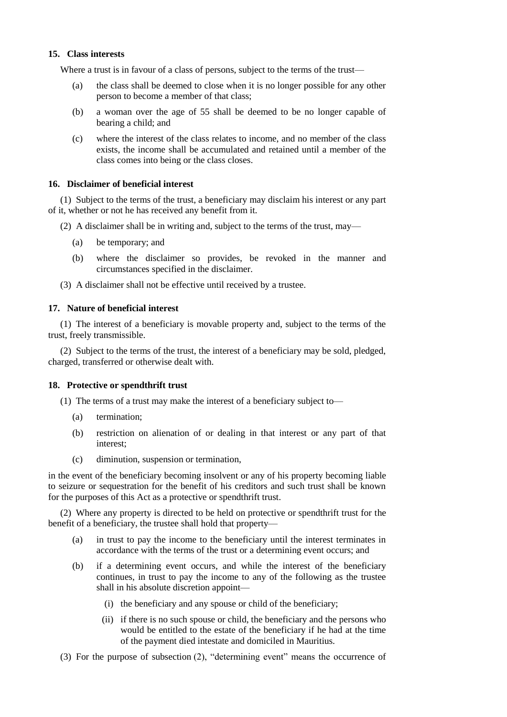# **15. Class interests**

Where a trust is in favour of a class of persons, subject to the terms of the trust—

- (a) the class shall be deemed to close when it is no longer possible for any other person to become a member of that class;
- (b) a woman over the age of 55 shall be deemed to be no longer capable of bearing a child; and
- (c) where the interest of the class relates to income, and no member of the class exists, the income shall be accumulated and retained until a member of the class comes into being or the class closes.

### **16. Disclaimer of beneficial interest**

(1) Subject to the terms of the trust, a beneficiary may disclaim his interest or any part of it, whether or not he has received any benefit from it.

(2) A disclaimer shall be in writing and, subject to the terms of the trust, may—

- (a) be temporary; and
- (b) where the disclaimer so provides, be revoked in the manner and circumstances specified in the disclaimer.
- (3) A disclaimer shall not be effective until received by a trustee.

### **17. Nature of beneficial interest**

(1) The interest of a beneficiary is movable property and, subject to the terms of the trust, freely transmissible.

(2) Subject to the terms of the trust, the interest of a beneficiary may be sold, pledged, charged, transferred or otherwise dealt with.

#### **18. Protective or spendthrift trust**

- (1) The terms of a trust may make the interest of a beneficiary subject to—
	- (a) termination;
	- (b) restriction on alienation of or dealing in that interest or any part of that interest;
	- (c) diminution, suspension or termination,

in the event of the beneficiary becoming insolvent or any of his property becoming liable to seizure or sequestration for the benefit of his creditors and such trust shall be known for the purposes of this Act as a protective or spendthrift trust.

(2) Where any property is directed to be held on protective or spendthrift trust for the benefit of a beneficiary, the trustee shall hold that property—

- (a) in trust to pay the income to the beneficiary until the interest terminates in accordance with the terms of the trust or a determining event occurs; and
- (b) if a determining event occurs, and while the interest of the beneficiary continues, in trust to pay the income to any of the following as the trustee shall in his absolute discretion appoint—
	- (i) the beneficiary and any spouse or child of the beneficiary;
	- (ii) if there is no such spouse or child, the beneficiary and the persons who would be entitled to the estate of the beneficiary if he had at the time of the payment died intestate and domiciled in Mauritius.
- (3) For the purpose of subsection (2), "determining event" means the occurrence of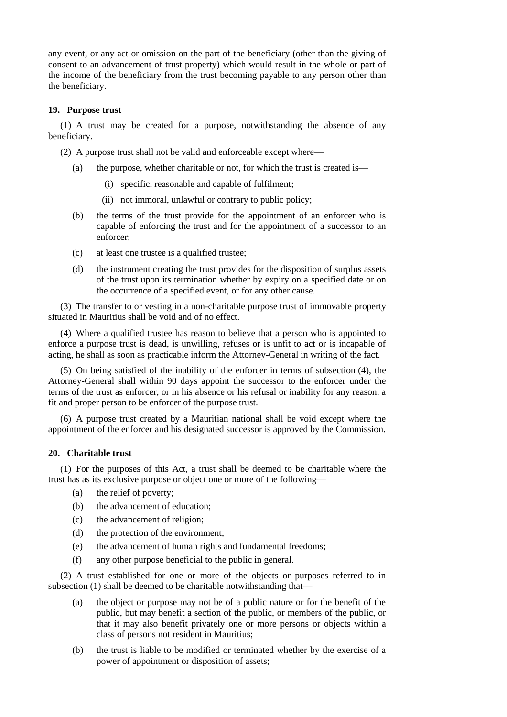any event, or any act or omission on the part of the beneficiary (other than the giving of consent to an advancement of trust property) which would result in the whole or part of the income of the beneficiary from the trust becoming payable to any person other than the beneficiary.

# **19. Purpose trust**

(1) A trust may be created for a purpose, notwithstanding the absence of any beneficiary.

(2) A purpose trust shall not be valid and enforceable except where—

- (a) the purpose, whether charitable or not, for which the trust is created is—
	- (i) specific, reasonable and capable of fulfilment;
	- (ii) not immoral, unlawful or contrary to public policy;
- (b) the terms of the trust provide for the appointment of an enforcer who is capable of enforcing the trust and for the appointment of a successor to an enforcer;
- (c) at least one trustee is a qualified trustee;
- (d) the instrument creating the trust provides for the disposition of surplus assets of the trust upon its termination whether by expiry on a specified date or on the occurrence of a specified event, or for any other cause.

(3) The transfer to or vesting in a non-charitable purpose trust of immovable property situated in Mauritius shall be void and of no effect.

(4) Where a qualified trustee has reason to believe that a person who is appointed to enforce a purpose trust is dead, is unwilling, refuses or is unfit to act or is incapable of acting, he shall as soon as practicable inform the Attorney-General in writing of the fact.

(5) On being satisfied of the inability of the enforcer in terms of subsection (4), the Attorney-General shall within 90 days appoint the successor to the enforcer under the terms of the trust as enforcer, or in his absence or his refusal or inability for any reason, a fit and proper person to be enforcer of the purpose trust.

(6) A purpose trust created by a Mauritian national shall be void except where the appointment of the enforcer and his designated successor is approved by the Commission.

### **20. Charitable trust**

(1) For the purposes of this Act, a trust shall be deemed to be charitable where the trust has as its exclusive purpose or object one or more of the following—

- (a) the relief of poverty;
- (b) the advancement of education;
- (c) the advancement of religion;
- (d) the protection of the environment;
- (e) the advancement of human rights and fundamental freedoms;
- (f) any other purpose beneficial to the public in general.

(2) A trust established for one or more of the objects or purposes referred to in subsection (1) shall be deemed to be charitable notwithstanding that—

- (a) the object or purpose may not be of a public nature or for the benefit of the public, but may benefit a section of the public, or members of the public, or that it may also benefit privately one or more persons or objects within a class of persons not resident in Mauritius;
- (b) the trust is liable to be modified or terminated whether by the exercise of a power of appointment or disposition of assets;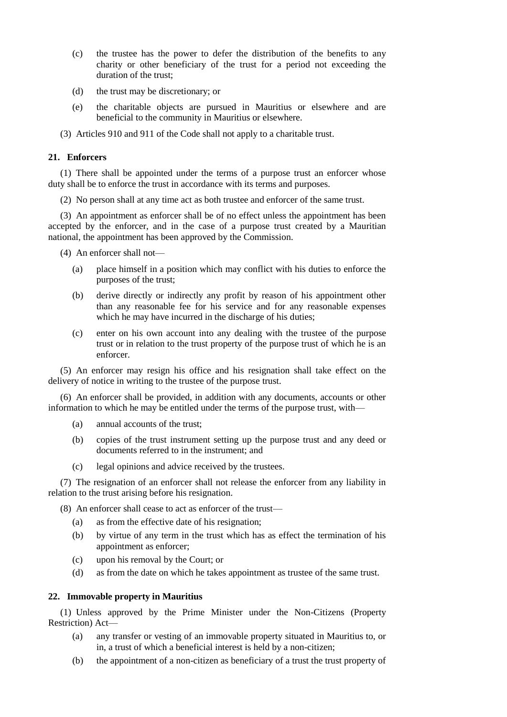- (c) the trustee has the power to defer the distribution of the benefits to any charity or other beneficiary of the trust for a period not exceeding the duration of the trust;
- (d) the trust may be discretionary; or
- (e) the charitable objects are pursued in Mauritius or elsewhere and are beneficial to the community in Mauritius or elsewhere.
- (3) Articles 910 and 911 of the Code shall not apply to a charitable trust.

# **21. Enforcers**

(1) There shall be appointed under the terms of a purpose trust an enforcer whose duty shall be to enforce the trust in accordance with its terms and purposes.

(2) No person shall at any time act as both trustee and enforcer of the same trust.

(3) An appointment as enforcer shall be of no effect unless the appointment has been accepted by the enforcer, and in the case of a purpose trust created by a Mauritian national, the appointment has been approved by the Commission.

(4) An enforcer shall not—

- (a) place himself in a position which may conflict with his duties to enforce the purposes of the trust;
- (b) derive directly or indirectly any profit by reason of his appointment other than any reasonable fee for his service and for any reasonable expenses which he may have incurred in the discharge of his duties;
- (c) enter on his own account into any dealing with the trustee of the purpose trust or in relation to the trust property of the purpose trust of which he is an enforcer.

(5) An enforcer may resign his office and his resignation shall take effect on the delivery of notice in writing to the trustee of the purpose trust.

(6) An enforcer shall be provided, in addition with any documents, accounts or other information to which he may be entitled under the terms of the purpose trust, with—

- (a) annual accounts of the trust;
- (b) copies of the trust instrument setting up the purpose trust and any deed or documents referred to in the instrument; and
- (c) legal opinions and advice received by the trustees.

(7) The resignation of an enforcer shall not release the enforcer from any liability in relation to the trust arising before his resignation.

(8) An enforcer shall cease to act as enforcer of the trust—

- (a) as from the effective date of his resignation;
- (b) by virtue of any term in the trust which has as effect the termination of his appointment as enforcer;
- (c) upon his removal by the Court; or
- (d) as from the date on which he takes appointment as trustee of the same trust.

# **22. Immovable property in Mauritius**

(1) Unless approved by the Prime Minister under the Non-Citizens (Property Restriction) Act—

- (a) any transfer or vesting of an immovable property situated in Mauritius to, or in, a trust of which a beneficial interest is held by a non-citizen;
- (b) the appointment of a non-citizen as beneficiary of a trust the trust property of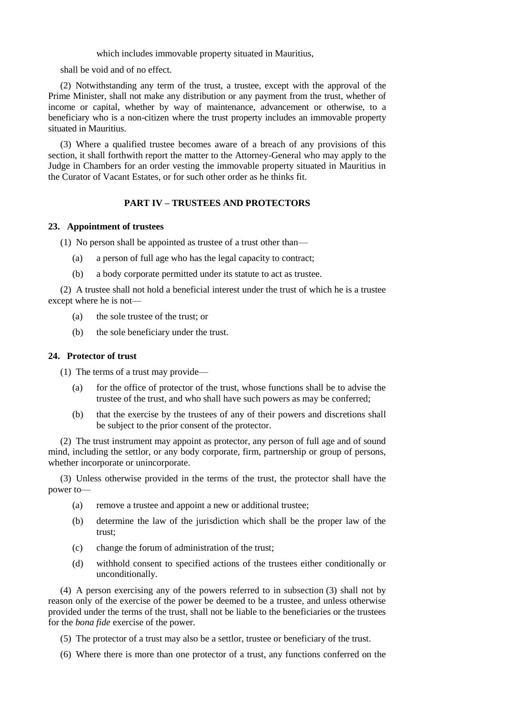which includes immovable property situated in Mauritius,

shall be void and of no effect.

(2) Notwithstanding any term of the trust, a trustee, except with the approval of the Prime Minister, shall not make any distribution or any payment from the trust, whether of income or capital, whether by way of maintenance, advancement or otherwise, to a beneficiary who is a non-citizen where the trust property includes an immovable property situated in Mauritius.

(3) Where a qualified trustee becomes aware of a breach of any provisions of this section, it shall forthwith report the matter to the Attorney-General who may apply to the Judge in Chambers for an order vesting the immovable property situated in Mauritius in the Curator of Vacant Estates, or for such other order as he thinks fit.

# **PART IV – TRUSTEES AND PROTECTORS**

### **23. Appointment of trustees**

(1) No person shall be appointed as trustee of a trust other than—

- (a) a person of full age who has the legal capacity to contract;
- (b) a body corporate permitted under its statute to act as trustee.

(2) A trustee shall not hold a beneficial interest under the trust of which he is a trustee except where he is not—

- (a) the sole trustee of the trust; or
- (b) the sole beneficiary under the trust.

# **24. Protector of trust**

(1) The terms of a trust may provide—

- (a) for the office of protector of the trust, whose functions shall be to advise the trustee of the trust, and who shall have such powers as may be conferred;
- (b) that the exercise by the trustees of any of their powers and discretions shall be subject to the prior consent of the protector.

(2) The trust instrument may appoint as protector, any person of full age and of sound mind, including the settlor, or any body corporate, firm, partnership or group of persons, whether incorporate or unincorporate.

(3) Unless otherwise provided in the terms of the trust, the protector shall have the power to—

- (a) remove a trustee and appoint a new or additional trustee;
- (b) determine the law of the jurisdiction which shall be the proper law of the trust;
- (c) change the forum of administration of the trust;
- (d) withhold consent to specified actions of the trustees either conditionally or unconditionally.

(4) A person exercising any of the powers referred to in subsection (3) shall not by reason only of the exercise of the power be deemed to be a trustee, and unless otherwise provided under the terms of the trust, shall not be liable to the beneficiaries or the trustees for the *bona fide* exercise of the power.

- (5) The protector of a trust may also be a settlor, trustee or beneficiary of the trust.
- (6) Where there is more than one protector of a trust, any functions conferred on the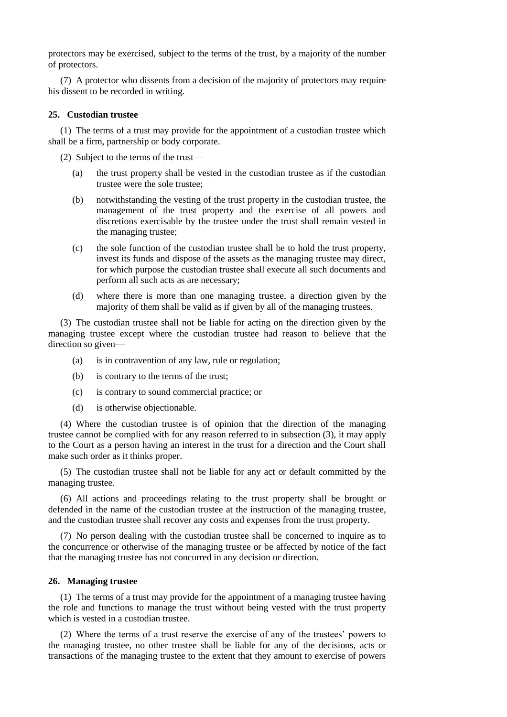protectors may be exercised, subject to the terms of the trust, by a majority of the number of protectors.

(7) A protector who dissents from a decision of the majority of protectors may require his dissent to be recorded in writing.

#### **25. Custodian trustee**

(1) The terms of a trust may provide for the appointment of a custodian trustee which shall be a firm, partnership or body corporate.

(2) Subject to the terms of the trust—

- (a) the trust property shall be vested in the custodian trustee as if the custodian trustee were the sole trustee;
- (b) notwithstanding the vesting of the trust property in the custodian trustee, the management of the trust property and the exercise of all powers and discretions exercisable by the trustee under the trust shall remain vested in the managing trustee;
- (c) the sole function of the custodian trustee shall be to hold the trust property, invest its funds and dispose of the assets as the managing trustee may direct, for which purpose the custodian trustee shall execute all such documents and perform all such acts as are necessary;
- (d) where there is more than one managing trustee, a direction given by the majority of them shall be valid as if given by all of the managing trustees.

(3) The custodian trustee shall not be liable for acting on the direction given by the managing trustee except where the custodian trustee had reason to believe that the direction so given—

- (a) is in contravention of any law, rule or regulation;
- (b) is contrary to the terms of the trust;
- (c) is contrary to sound commercial practice; or
- (d) is otherwise objectionable.

(4) Where the custodian trustee is of opinion that the direction of the managing trustee cannot be complied with for any reason referred to in subsection (3), it may apply to the Court as a person having an interest in the trust for a direction and the Court shall make such order as it thinks proper.

(5) The custodian trustee shall not be liable for any act or default committed by the managing trustee.

(6) All actions and proceedings relating to the trust property shall be brought or defended in the name of the custodian trustee at the instruction of the managing trustee, and the custodian trustee shall recover any costs and expenses from the trust property.

(7) No person dealing with the custodian trustee shall be concerned to inquire as to the concurrence or otherwise of the managing trustee or be affected by notice of the fact that the managing trustee has not concurred in any decision or direction.

#### **26. Managing trustee**

(1) The terms of a trust may provide for the appointment of a managing trustee having the role and functions to manage the trust without being vested with the trust property which is vested in a custodian trustee.

(2) Where the terms of a trust reserve the exercise of any of the trustees' powers to the managing trustee, no other trustee shall be liable for any of the decisions, acts or transactions of the managing trustee to the extent that they amount to exercise of powers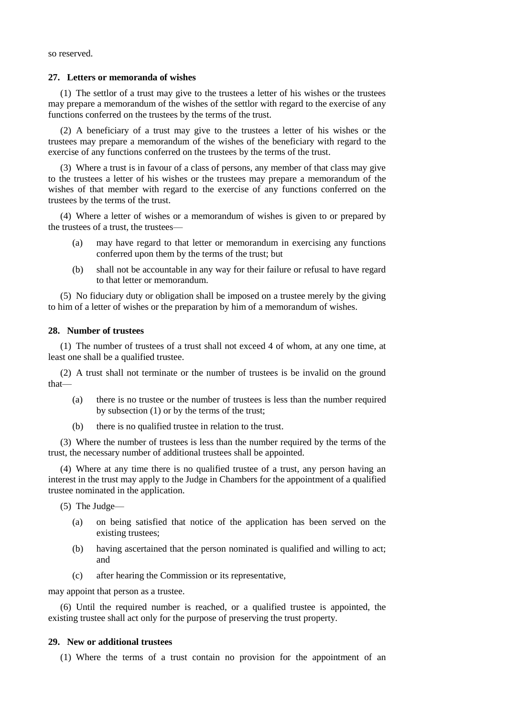so reserved.

#### **27. Letters or memoranda of wishes**

(1) The settlor of a trust may give to the trustees a letter of his wishes or the trustees may prepare a memorandum of the wishes of the settlor with regard to the exercise of any functions conferred on the trustees by the terms of the trust.

(2) A beneficiary of a trust may give to the trustees a letter of his wishes or the trustees may prepare a memorandum of the wishes of the beneficiary with regard to the exercise of any functions conferred on the trustees by the terms of the trust.

(3) Where a trust is in favour of a class of persons, any member of that class may give to the trustees a letter of his wishes or the trustees may prepare a memorandum of the wishes of that member with regard to the exercise of any functions conferred on the trustees by the terms of the trust.

(4) Where a letter of wishes or a memorandum of wishes is given to or prepared by the trustees of a trust, the trustees—

- (a) may have regard to that letter or memorandum in exercising any functions conferred upon them by the terms of the trust; but
- (b) shall not be accountable in any way for their failure or refusal to have regard to that letter or memorandum.

(5) No fiduciary duty or obligation shall be imposed on a trustee merely by the giving to him of a letter of wishes or the preparation by him of a memorandum of wishes.

### **28. Number of trustees**

(1) The number of trustees of a trust shall not exceed 4 of whom, at any one time, at least one shall be a qualified trustee.

(2) A trust shall not terminate or the number of trustees is be invalid on the ground that—

- (a) there is no trustee or the number of trustees is less than the number required by subsection (1) or by the terms of the trust;
- (b) there is no qualified trustee in relation to the trust.

(3) Where the number of trustees is less than the number required by the terms of the trust, the necessary number of additional trustees shall be appointed.

(4) Where at any time there is no qualified trustee of a trust, any person having an interest in the trust may apply to the Judge in Chambers for the appointment of a qualified trustee nominated in the application.

(5) The Judge—

- (a) on being satisfied that notice of the application has been served on the existing trustees;
- (b) having ascertained that the person nominated is qualified and willing to act; and
- (c) after hearing the Commission or its representative,

may appoint that person as a trustee.

(6) Until the required number is reached, or a qualified trustee is appointed, the existing trustee shall act only for the purpose of preserving the trust property.

#### **29. New or additional trustees**

(1) Where the terms of a trust contain no provision for the appointment of an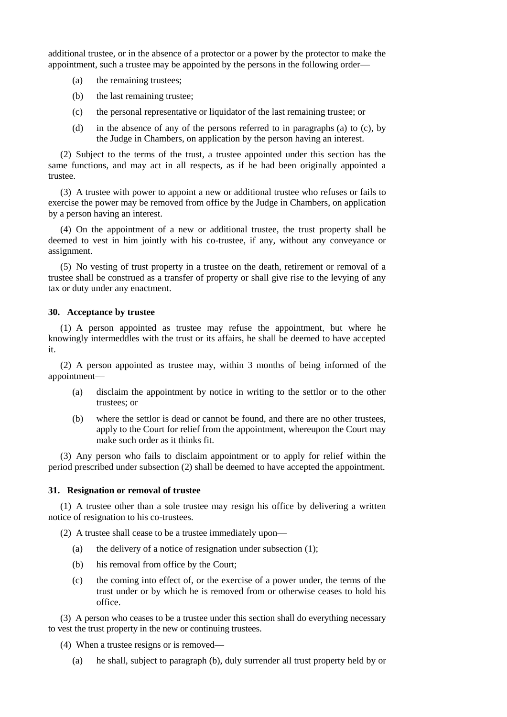additional trustee, or in the absence of a protector or a power by the protector to make the appointment, such a trustee may be appointed by the persons in the following order—

- (a) the remaining trustees;
- (b) the last remaining trustee;
- (c) the personal representative or liquidator of the last remaining trustee; or
- (d) in the absence of any of the persons referred to in paragraphs (a) to (c), by the Judge in Chambers, on application by the person having an interest.

(2) Subject to the terms of the trust, a trustee appointed under this section has the same functions, and may act in all respects, as if he had been originally appointed a trustee.

(3) A trustee with power to appoint a new or additional trustee who refuses or fails to exercise the power may be removed from office by the Judge in Chambers, on application by a person having an interest.

(4) On the appointment of a new or additional trustee, the trust property shall be deemed to vest in him jointly with his co-trustee, if any, without any conveyance or assignment.

(5) No vesting of trust property in a trustee on the death, retirement or removal of a trustee shall be construed as a transfer of property or shall give rise to the levying of any tax or duty under any enactment.

### **30. Acceptance by trustee**

(1) A person appointed as trustee may refuse the appointment, but where he knowingly intermeddles with the trust or its affairs, he shall be deemed to have accepted it.

(2) A person appointed as trustee may, within 3 months of being informed of the appointment—

- (a) disclaim the appointment by notice in writing to the settlor or to the other trustees; or
- (b) where the settlor is dead or cannot be found, and there are no other trustees, apply to the Court for relief from the appointment, whereupon the Court may make such order as it thinks fit.

(3) Any person who fails to disclaim appointment or to apply for relief within the period prescribed under subsection (2) shall be deemed to have accepted the appointment.

### **31. Resignation or removal of trustee**

(1) A trustee other than a sole trustee may resign his office by delivering a written notice of resignation to his co-trustees.

(2) A trustee shall cease to be a trustee immediately upon—

- (a) the delivery of a notice of resignation under subsection (1);
- (b) his removal from office by the Court;
- (c) the coming into effect of, or the exercise of a power under, the terms of the trust under or by which he is removed from or otherwise ceases to hold his office.

(3) A person who ceases to be a trustee under this section shall do everything necessary to vest the trust property in the new or continuing trustees.

(4) When a trustee resigns or is removed—

(a) he shall, subject to paragraph (b), duly surrender all trust property held by or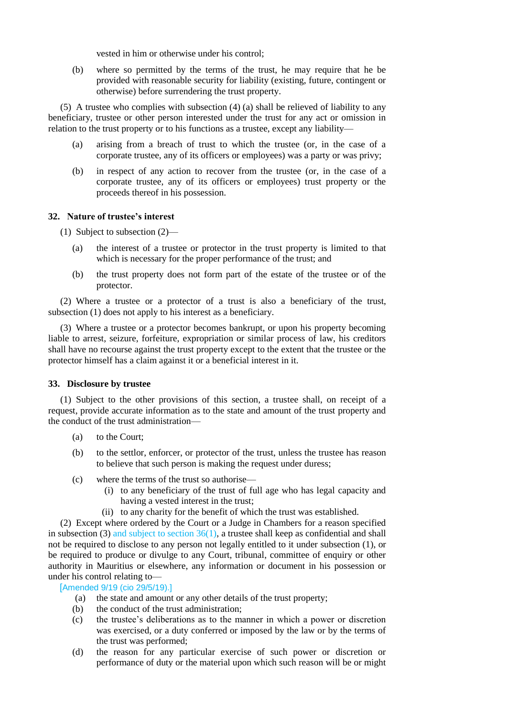vested in him or otherwise under his control;

(b) where so permitted by the terms of the trust, he may require that he be provided with reasonable security for liability (existing, future, contingent or otherwise) before surrendering the trust property.

(5) A trustee who complies with subsection (4) (a) shall be relieved of liability to any beneficiary, trustee or other person interested under the trust for any act or omission in relation to the trust property or to his functions as a trustee, except any liability—

- (a) arising from a breach of trust to which the trustee (or, in the case of a corporate trustee, any of its officers or employees) was a party or was privy;
- (b) in respect of any action to recover from the trustee (or, in the case of a corporate trustee, any of its officers or employees) trust property or the proceeds thereof in his possession.

# **32. Nature of trustee's interest**

(1) Subject to subsection (2)—

- (a) the interest of a trustee or protector in the trust property is limited to that which is necessary for the proper performance of the trust; and
- (b) the trust property does not form part of the estate of the trustee or of the protector.

(2) Where a trustee or a protector of a trust is also a beneficiary of the trust, subsection (1) does not apply to his interest as a beneficiary.

(3) Where a trustee or a protector becomes bankrupt, or upon his property becoming liable to arrest, seizure, forfeiture, expropriation or similar process of law, his creditors shall have no recourse against the trust property except to the extent that the trustee or the protector himself has a claim against it or a beneficial interest in it.

# **33. Disclosure by trustee**

(1) Subject to the other provisions of this section, a trustee shall, on receipt of a request, provide accurate information as to the state and amount of the trust property and the conduct of the trust administration—

- (a) to the Court;
- (b) to the settlor, enforcer, or protector of the trust, unless the trustee has reason to believe that such person is making the request under duress;
- (c) where the terms of the trust so authorise—
	- (i) to any beneficiary of the trust of full age who has legal capacity and having a vested interest in the trust;
	- (ii) to any charity for the benefit of which the trust was established.

(2) Except where ordered by the Court or a Judge in Chambers for a reason specified in subsection (3) and subject to section  $36(1)$ , a trustee shall keep as confidential and shall not be required to disclose to any person not legally entitled to it under subsection (1), or be required to produce or divulge to any Court, tribunal, committee of enquiry or other authority in Mauritius or elsewhere, any information or document in his possession or under his control relating to—

[Amended 9/19 (cio 29/5/19).]

- (a) the state and amount or any other details of the trust property;
- (b) the conduct of the trust administration;
- (c) the trustee's deliberations as to the manner in which a power or discretion was exercised, or a duty conferred or imposed by the law or by the terms of the trust was performed;
- (d) the reason for any particular exercise of such power or discretion or performance of duty or the material upon which such reason will be or might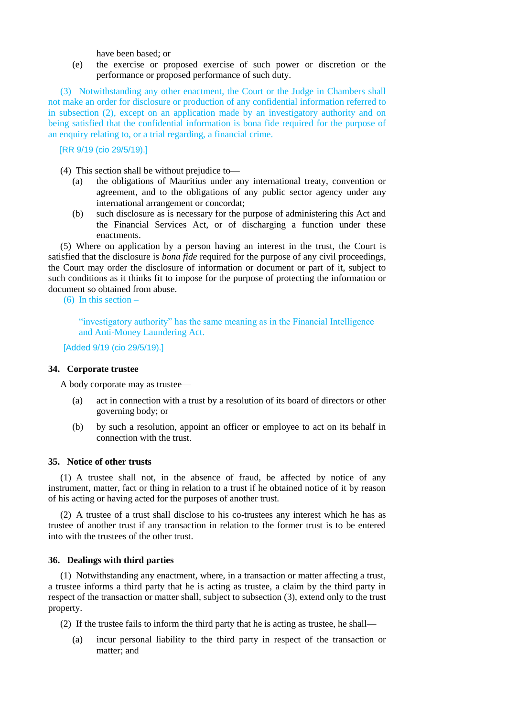have been based; or

(e) the exercise or proposed exercise of such power or discretion or the performance or proposed performance of such duty.

(3) Notwithstanding any other enactment, the Court or the Judge in Chambers shall not make an order for disclosure or production of any confidential information referred to in subsection (2), except on an application made by an investigatory authority and on being satisfied that the confidential information is bona fide required for the purpose of an enquiry relating to, or a trial regarding, a financial crime.

[RR 9/19 (cio 29/5/19).]

- (4) This section shall be without prejudice to—
	- (a) the obligations of Mauritius under any international treaty, convention or agreement, and to the obligations of any public sector agency under any international arrangement or concordat;
	- (b) such disclosure as is necessary for the purpose of administering this Act and the Financial Services Act, or of discharging a function under these enactments.

(5) Where on application by a person having an interest in the trust, the Court is satisfied that the disclosure is *bona fide* required for the purpose of any civil proceedings, the Court may order the disclosure of information or document or part of it, subject to such conditions as it thinks fit to impose for the purpose of protecting the information or document so obtained from abuse.

(6) In this section –

"investigatory authority" has the same meaning as in the Financial Intelligence and Anti-Money Laundering Act.

[Added 9/19 (cio 29/5/19).]

### **34. Corporate trustee**

A body corporate may as trustee—

- (a) act in connection with a trust by a resolution of its board of directors or other governing body; or
- (b) by such a resolution, appoint an officer or employee to act on its behalf in connection with the trust.

### **35. Notice of other trusts**

(1) A trustee shall not, in the absence of fraud, be affected by notice of any instrument, matter, fact or thing in relation to a trust if he obtained notice of it by reason of his acting or having acted for the purposes of another trust.

(2) A trustee of a trust shall disclose to his co-trustees any interest which he has as trustee of another trust if any transaction in relation to the former trust is to be entered into with the trustees of the other trust.

# **36. Dealings with third parties**

(1) Notwithstanding any enactment, where, in a transaction or matter affecting a trust, a trustee informs a third party that he is acting as trustee, a claim by the third party in respect of the transaction or matter shall, subject to subsection (3), extend only to the trust property.

(2) If the trustee fails to inform the third party that he is acting as trustee, he shall—

(a) incur personal liability to the third party in respect of the transaction or matter; and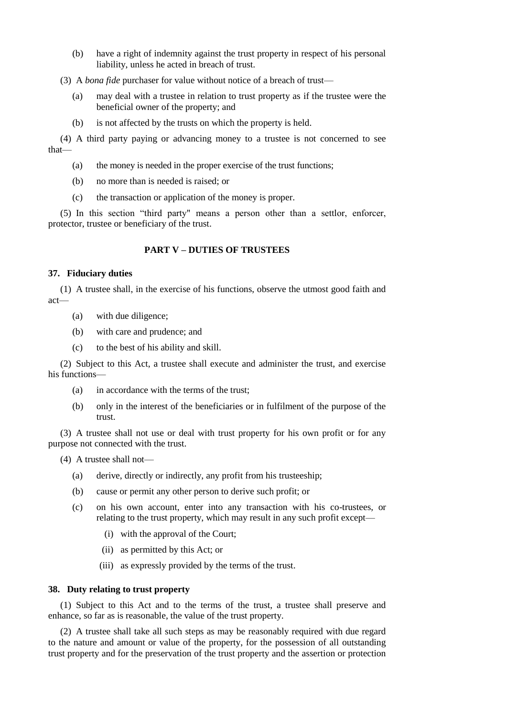(b) have a right of indemnity against the trust property in respect of his personal liability, unless he acted in breach of trust.

(3) A *bona fide* purchaser for value without notice of a breach of trust—

- (a) may deal with a trustee in relation to trust property as if the trustee were the beneficial owner of the property; and
- (b) is not affected by the trusts on which the property is held.

(4) A third party paying or advancing money to a trustee is not concerned to see that—

- (a) the money is needed in the proper exercise of the trust functions;
- (b) no more than is needed is raised; or
- (c) the transaction or application of the money is proper.

(5) In this section "third party" means a person other than a settlor, enforcer, protector, trustee or beneficiary of the trust.

# **PART V – DUTIES OF TRUSTEES**

### **37. Fiduciary duties**

(1) A trustee shall, in the exercise of his functions, observe the utmost good faith and act—

- (a) with due diligence;
- (b) with care and prudence; and
- (c) to the best of his ability and skill.

(2) Subject to this Act, a trustee shall execute and administer the trust, and exercise his functions—

- (a) in accordance with the terms of the trust;
- (b) only in the interest of the beneficiaries or in fulfilment of the purpose of the trust.

(3) A trustee shall not use or deal with trust property for his own profit or for any purpose not connected with the trust.

(4) A trustee shall not—

- (a) derive, directly or indirectly, any profit from his trusteeship;
- (b) cause or permit any other person to derive such profit; or
- (c) on his own account, enter into any transaction with his co-trustees, or relating to the trust property, which may result in any such profit except—
	- (i) with the approval of the Court;
	- (ii) as permitted by this Act; or
	- (iii) as expressly provided by the terms of the trust.

#### **38. Duty relating to trust property**

(1) Subject to this Act and to the terms of the trust, a trustee shall preserve and enhance, so far as is reasonable, the value of the trust property.

(2) A trustee shall take all such steps as may be reasonably required with due regard to the nature and amount or value of the property, for the possession of all outstanding trust property and for the preservation of the trust property and the assertion or protection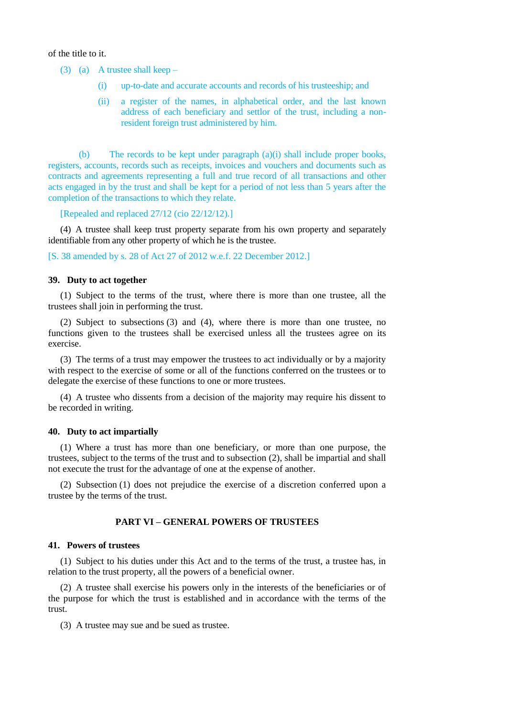of the title to it.

(3) (a) A trustee shall keep –

- (i) up-to-date and accurate accounts and records of his trusteeship; and
- (ii) a register of the names, in alphabetical order, and the last known address of each beneficiary and settlor of the trust, including a nonresident foreign trust administered by him.

(b) The records to be kept under paragraph  $(a)(i)$  shall include proper books, registers, accounts, records such as receipts, invoices and vouchers and documents such as contracts and agreements representing a full and true record of all transactions and other acts engaged in by the trust and shall be kept for a period of not less than 5 years after the completion of the transactions to which they relate.

[Repealed and replaced 27/12 (cio 22/12/12).]

(4) A trustee shall keep trust property separate from his own property and separately identifiable from any other property of which he is the trustee.

[S. 38 amended by s. 28 of Act 27 of 2012 w.e.f. 22 December 2012.]

#### **39. Duty to act together**

(1) Subject to the terms of the trust, where there is more than one trustee, all the trustees shall join in performing the trust.

(2) Subject to subsections (3) and (4), where there is more than one trustee, no functions given to the trustees shall be exercised unless all the trustees agree on its exercise.

(3) The terms of a trust may empower the trustees to act individually or by a majority with respect to the exercise of some or all of the functions conferred on the trustees or to delegate the exercise of these functions to one or more trustees.

(4) A trustee who dissents from a decision of the majority may require his dissent to be recorded in writing.

#### **40. Duty to act impartially**

(1) Where a trust has more than one beneficiary, or more than one purpose, the trustees, subject to the terms of the trust and to subsection (2), shall be impartial and shall not execute the trust for the advantage of one at the expense of another.

(2) Subsection (1) does not prejudice the exercise of a discretion conferred upon a trustee by the terms of the trust.

### **PART VI – GENERAL POWERS OF TRUSTEES**

### **41. Powers of trustees**

(1) Subject to his duties under this Act and to the terms of the trust, a trustee has, in relation to the trust property, all the powers of a beneficial owner.

(2) A trustee shall exercise his powers only in the interests of the beneficiaries or of the purpose for which the trust is established and in accordance with the terms of the trust.

(3) A trustee may sue and be sued as trustee.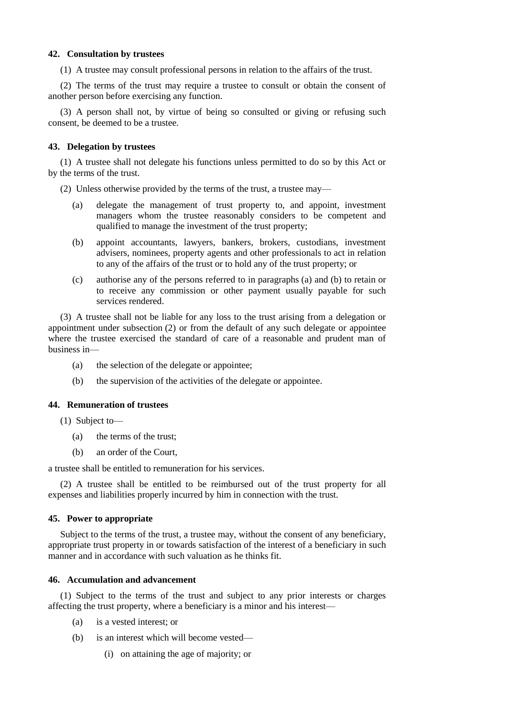## **42. Consultation by trustees**

(1) A trustee may consult professional persons in relation to the affairs of the trust.

(2) The terms of the trust may require a trustee to consult or obtain the consent of another person before exercising any function.

(3) A person shall not, by virtue of being so consulted or giving or refusing such consent, be deemed to be a trustee.

# **43. Delegation by trustees**

(1) A trustee shall not delegate his functions unless permitted to do so by this Act or by the terms of the trust.

(2) Unless otherwise provided by the terms of the trust, a trustee may—

- (a) delegate the management of trust property to, and appoint, investment managers whom the trustee reasonably considers to be competent and qualified to manage the investment of the trust property;
- (b) appoint accountants, lawyers, bankers, brokers, custodians, investment advisers, nominees, property agents and other professionals to act in relation to any of the affairs of the trust or to hold any of the trust property; or
- (c) authorise any of the persons referred to in paragraphs (a) and (b) to retain or to receive any commission or other payment usually payable for such services rendered.

(3) A trustee shall not be liable for any loss to the trust arising from a delegation or appointment under subsection (2) or from the default of any such delegate or appointee where the trustee exercised the standard of care of a reasonable and prudent man of business in—

- (a) the selection of the delegate or appointee;
- (b) the supervision of the activities of the delegate or appointee.

# **44. Remuneration of trustees**

(1) Subject to—

- (a) the terms of the trust;
- (b) an order of the Court,

a trustee shall be entitled to remuneration for his services.

(2) A trustee shall be entitled to be reimbursed out of the trust property for all expenses and liabilities properly incurred by him in connection with the trust.

# **45. Power to appropriate**

Subject to the terms of the trust, a trustee may, without the consent of any beneficiary, appropriate trust property in or towards satisfaction of the interest of a beneficiary in such manner and in accordance with such valuation as he thinks fit.

### **46. Accumulation and advancement**

(1) Subject to the terms of the trust and subject to any prior interests or charges affecting the trust property, where a beneficiary is a minor and his interest—

- (a) is a vested interest; or
- (b) is an interest which will become vested—
	- (i) on attaining the age of majority; or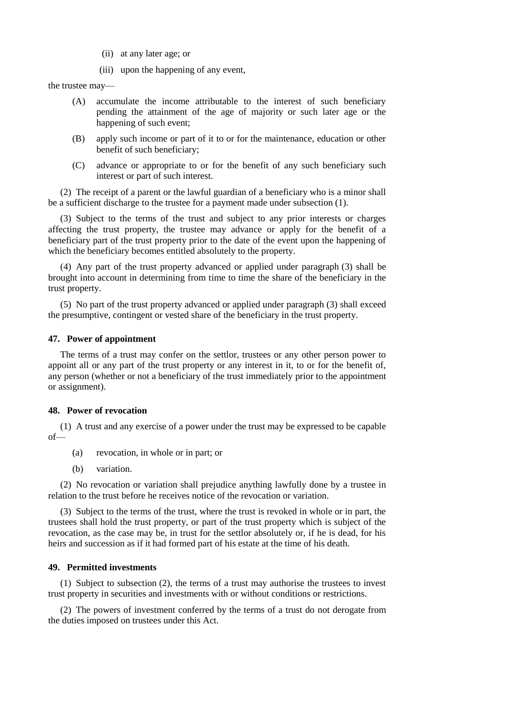- (ii) at any later age; or
- (iii) upon the happening of any event,

the trustee may—

- (A) accumulate the income attributable to the interest of such beneficiary pending the attainment of the age of majority or such later age or the happening of such event;
- (B) apply such income or part of it to or for the maintenance, education or other benefit of such beneficiary;
- (C) advance or appropriate to or for the benefit of any such beneficiary such interest or part of such interest.

(2) The receipt of a parent or the lawful guardian of a beneficiary who is a minor shall be a sufficient discharge to the trustee for a payment made under subsection (1).

(3) Subject to the terms of the trust and subject to any prior interests or charges affecting the trust property, the trustee may advance or apply for the benefit of a beneficiary part of the trust property prior to the date of the event upon the happening of which the beneficiary becomes entitled absolutely to the property.

(4) Any part of the trust property advanced or applied under paragraph (3) shall be brought into account in determining from time to time the share of the beneficiary in the trust property.

(5) No part of the trust property advanced or applied under paragraph (3) shall exceed the presumptive, contingent or vested share of the beneficiary in the trust property.

#### **47. Power of appointment**

The terms of a trust may confer on the settlor, trustees or any other person power to appoint all or any part of the trust property or any interest in it, to or for the benefit of, any person (whether or not a beneficiary of the trust immediately prior to the appointment or assignment).

#### **48. Power of revocation**

(1) A trust and any exercise of a power under the trust may be expressed to be capable of—

- (a) revocation, in whole or in part; or
- (b) variation.

(2) No revocation or variation shall prejudice anything lawfully done by a trustee in relation to the trust before he receives notice of the revocation or variation.

(3) Subject to the terms of the trust, where the trust is revoked in whole or in part, the trustees shall hold the trust property, or part of the trust property which is subject of the revocation, as the case may be, in trust for the settlor absolutely or, if he is dead, for his heirs and succession as if it had formed part of his estate at the time of his death.

## **49. Permitted investments**

(1) Subject to subsection (2), the terms of a trust may authorise the trustees to invest trust property in securities and investments with or without conditions or restrictions.

(2) The powers of investment conferred by the terms of a trust do not derogate from the duties imposed on trustees under this Act.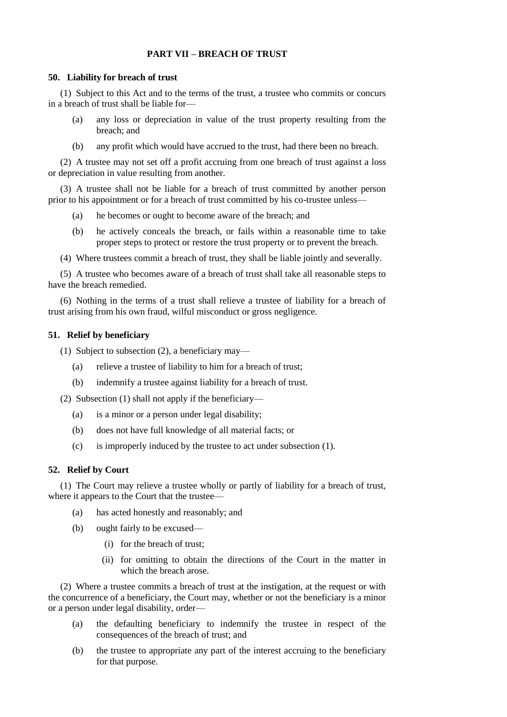# **PART VII – BREACH OF TRUST**

#### **50. Liability for breach of trust**

(1) Subject to this Act and to the terms of the trust, a trustee who commits or concurs in a breach of trust shall be liable for—

- (a) any loss or depreciation in value of the trust property resulting from the breach; and
- (b) any profit which would have accrued to the trust, had there been no breach.

(2) A trustee may not set off a profit accruing from one breach of trust against a loss or depreciation in value resulting from another.

(3) A trustee shall not be liable for a breach of trust committed by another person prior to his appointment or for a breach of trust committed by his co-trustee unless—

- (a) he becomes or ought to become aware of the breach; and
- (b) he actively conceals the breach, or fails within a reasonable time to take proper steps to protect or restore the trust property or to prevent the breach.
- (4) Where trustees commit a breach of trust, they shall be liable jointly and severally.

(5) A trustee who becomes aware of a breach of trust shall take all reasonable steps to have the breach remedied.

(6) Nothing in the terms of a trust shall relieve a trustee of liability for a breach of trust arising from his own fraud, wilful misconduct or gross negligence.

#### **51. Relief by beneficiary**

(1) Subject to subsection (2), a beneficiary may—

- (a) relieve a trustee of liability to him for a breach of trust;
- (b) indemnify a trustee against liability for a breach of trust.

(2) Subsection (1) shall not apply if the beneficiary—

- (a) is a minor or a person under legal disability;
- (b) does not have full knowledge of all material facts; or
- (c) is improperly induced by the trustee to act under subsection (1).

## **52. Relief by Court**

(1) The Court may relieve a trustee wholly or partly of liability for a breach of trust, where it appears to the Court that the trustee—

- (a) has acted honestly and reasonably; and
- (b) ought fairly to be excused—
	- (i) for the breach of trust;
	- (ii) for omitting to obtain the directions of the Court in the matter in which the breach arose.

(2) Where a trustee commits a breach of trust at the instigation, at the request or with the concurrence of a beneficiary, the Court may, whether or not the beneficiary is a minor or a person under legal disability, order—

- (a) the defaulting beneficiary to indemnify the trustee in respect of the consequences of the breach of trust; and
- (b) the trustee to appropriate any part of the interest accruing to the beneficiary for that purpose.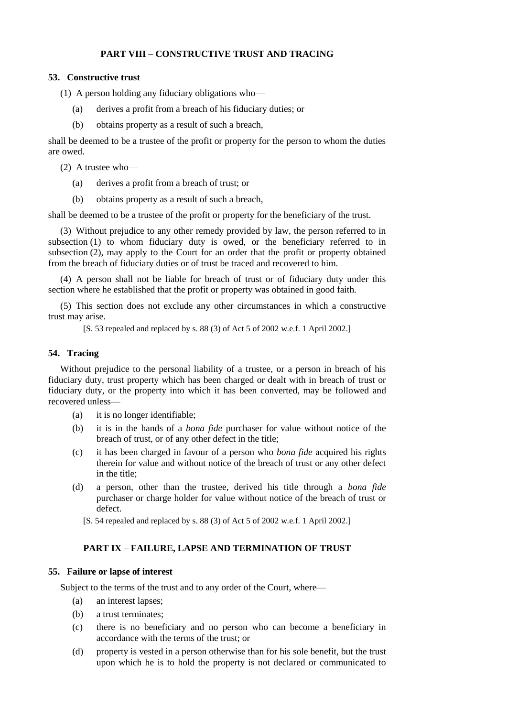# **PART VIII – CONSTRUCTIVE TRUST AND TRACING**

### **53. Constructive trust**

(1) A person holding any fiduciary obligations who—

- (a) derives a profit from a breach of his fiduciary duties; or
- (b) obtains property as a result of such a breach,

shall be deemed to be a trustee of the profit or property for the person to whom the duties are owed.

(2) A trustee who—

- (a) derives a profit from a breach of trust; or
- (b) obtains property as a result of such a breach,

shall be deemed to be a trustee of the profit or property for the beneficiary of the trust.

(3) Without prejudice to any other remedy provided by law, the person referred to in subsection (1) to whom fiduciary duty is owed, or the beneficiary referred to in subsection (2), may apply to the Court for an order that the profit or property obtained from the breach of fiduciary duties or of trust be traced and recovered to him.

(4) A person shall not be liable for breach of trust or of fiduciary duty under this section where he established that the profit or property was obtained in good faith.

(5) This section does not exclude any other circumstances in which a constructive trust may arise.

[S. 53 repealed and replaced by s. 88 (3) of Act 5 of 2002 w.e.f. 1 April 2002.]

# **54. Tracing**

Without prejudice to the personal liability of a trustee, or a person in breach of his fiduciary duty, trust property which has been charged or dealt with in breach of trust or fiduciary duty, or the property into which it has been converted, may be followed and recovered unless—

- (a) it is no longer identifiable;
- (b) it is in the hands of a *bona fide* purchaser for value without notice of the breach of trust, or of any other defect in the title;
- (c) it has been charged in favour of a person who *bona fide* acquired his rights therein for value and without notice of the breach of trust or any other defect in the title;
- (d) a person, other than the trustee, derived his title through a *bona fide* purchaser or charge holder for value without notice of the breach of trust or defect.
	- [S. 54 repealed and replaced by s. 88 (3) of Act 5 of 2002 w.e.f. 1 April 2002.]

# **PART IX – FAILURE, LAPSE AND TERMINATION OF TRUST**

#### **55. Failure or lapse of interest**

Subject to the terms of the trust and to any order of the Court, where—

- (a) an interest lapses;
- (b) a trust terminates;
- (c) there is no beneficiary and no person who can become a beneficiary in accordance with the terms of the trust; or
- (d) property is vested in a person otherwise than for his sole benefit, but the trust upon which he is to hold the property is not declared or communicated to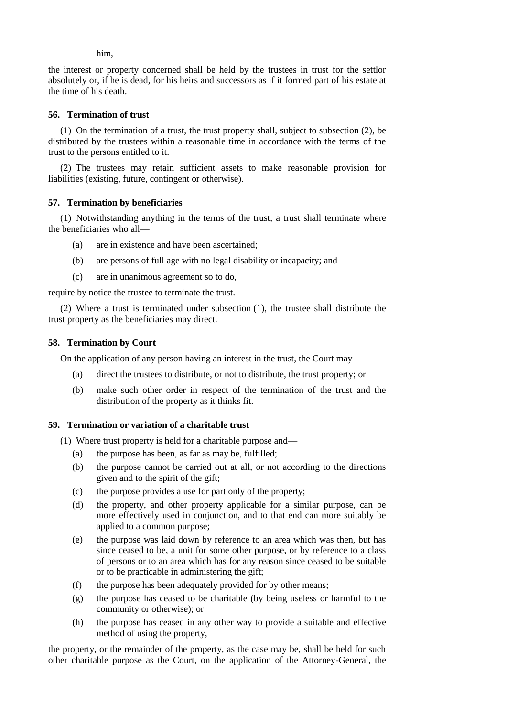him,

the interest or property concerned shall be held by the trustees in trust for the settlor absolutely or, if he is dead, for his heirs and successors as if it formed part of his estate at the time of his death.

# **56. Termination of trust**

(1) On the termination of a trust, the trust property shall, subject to subsection (2), be distributed by the trustees within a reasonable time in accordance with the terms of the trust to the persons entitled to it.

(2) The trustees may retain sufficient assets to make reasonable provision for liabilities (existing, future, contingent or otherwise).

# **57. Termination by beneficiaries**

(1) Notwithstanding anything in the terms of the trust, a trust shall terminate where the beneficiaries who all—

- (a) are in existence and have been ascertained;
- (b) are persons of full age with no legal disability or incapacity; and
- (c) are in unanimous agreement so to do,

require by notice the trustee to terminate the trust.

(2) Where a trust is terminated under subsection (1), the trustee shall distribute the trust property as the beneficiaries may direct.

### **58. Termination by Court**

On the application of any person having an interest in the trust, the Court may—

- (a) direct the trustees to distribute, or not to distribute, the trust property; or
- (b) make such other order in respect of the termination of the trust and the distribution of the property as it thinks fit.

# **59. Termination or variation of a charitable trust**

(1) Where trust property is held for a charitable purpose and—

- (a) the purpose has been, as far as may be, fulfilled;
- (b) the purpose cannot be carried out at all, or not according to the directions given and to the spirit of the gift;
- (c) the purpose provides a use for part only of the property;
- (d) the property, and other property applicable for a similar purpose, can be more effectively used in conjunction, and to that end can more suitably be applied to a common purpose;
- (e) the purpose was laid down by reference to an area which was then, but has since ceased to be, a unit for some other purpose, or by reference to a class of persons or to an area which has for any reason since ceased to be suitable or to be practicable in administering the gift;
- (f) the purpose has been adequately provided for by other means;
- (g) the purpose has ceased to be charitable (by being useless or harmful to the community or otherwise); or
- (h) the purpose has ceased in any other way to provide a suitable and effective method of using the property,

the property, or the remainder of the property, as the case may be, shall be held for such other charitable purpose as the Court, on the application of the Attorney-General, the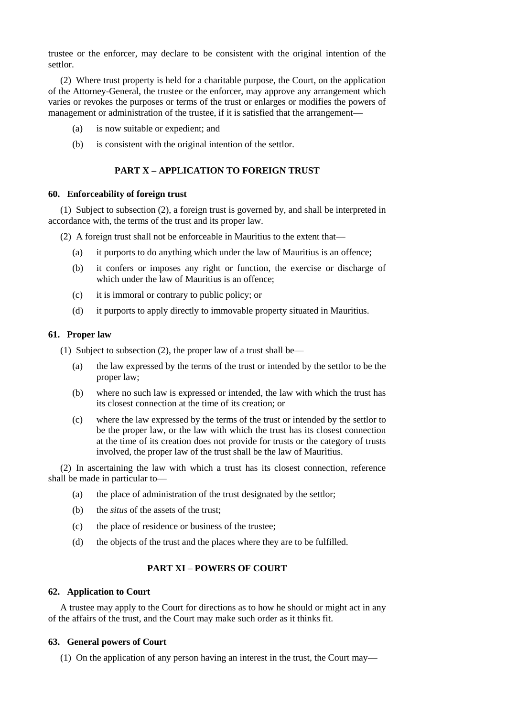trustee or the enforcer, may declare to be consistent with the original intention of the settlor.

(2) Where trust property is held for a charitable purpose, the Court, on the application of the Attorney-General, the trustee or the enforcer, may approve any arrangement which varies or revokes the purposes or terms of the trust or enlarges or modifies the powers of management or administration of the trustee, if it is satisfied that the arrangement—

- (a) is now suitable or expedient; and
- (b) is consistent with the original intention of the settlor.

# **PART X – APPLICATION TO FOREIGN TRUST**

### **60. Enforceability of foreign trust**

(1) Subject to subsection (2), a foreign trust is governed by, and shall be interpreted in accordance with, the terms of the trust and its proper law.

(2) A foreign trust shall not be enforceable in Mauritius to the extent that—

- (a) it purports to do anything which under the law of Mauritius is an offence;
- (b) it confers or imposes any right or function, the exercise or discharge of which under the law of Mauritius is an offence;
- (c) it is immoral or contrary to public policy; or
- (d) it purports to apply directly to immovable property situated in Mauritius.

### **61. Proper law**

(1) Subject to subsection (2), the proper law of a trust shall be—

- (a) the law expressed by the terms of the trust or intended by the settlor to be the proper law;
- (b) where no such law is expressed or intended, the law with which the trust has its closest connection at the time of its creation; or
- (c) where the law expressed by the terms of the trust or intended by the settlor to be the proper law, or the law with which the trust has its closest connection at the time of its creation does not provide for trusts or the category of trusts involved, the proper law of the trust shall be the law of Mauritius.

(2) In ascertaining the law with which a trust has its closest connection, reference shall be made in particular to—

- (a) the place of administration of the trust designated by the settlor;
- (b) the *situs* of the assets of the trust;
- (c) the place of residence or business of the trustee;
- (d) the objects of the trust and the places where they are to be fulfilled.

# **PART XI – POWERS OF COURT**

#### **62. Application to Court**

A trustee may apply to the Court for directions as to how he should or might act in any of the affairs of the trust, and the Court may make such order as it thinks fit.

# **63. General powers of Court**

(1) On the application of any person having an interest in the trust, the Court may—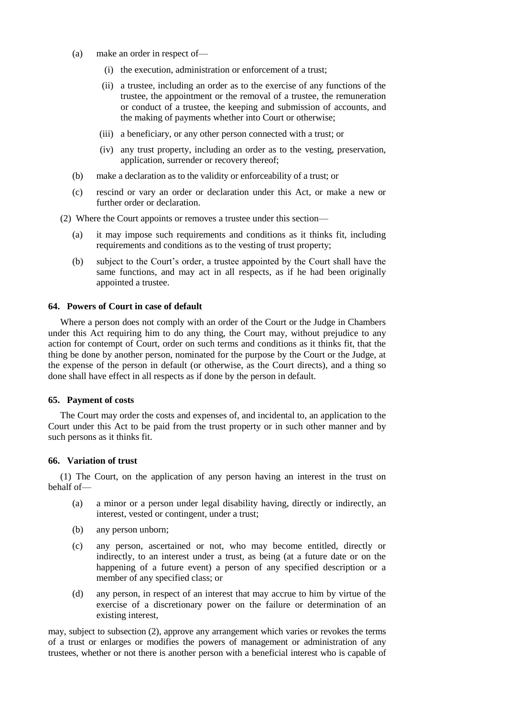- (a) make an order in respect of—
	- (i) the execution, administration or enforcement of a trust;
	- (ii) a trustee, including an order as to the exercise of any functions of the trustee, the appointment or the removal of a trustee, the remuneration or conduct of a trustee, the keeping and submission of accounts, and the making of payments whether into Court or otherwise;
	- (iii) a beneficiary, or any other person connected with a trust; or
	- (iv) any trust property, including an order as to the vesting, preservation, application, surrender or recovery thereof;
- (b) make a declaration as to the validity or enforceability of a trust; or
- (c) rescind or vary an order or declaration under this Act, or make a new or further order or declaration.
- (2) Where the Court appoints or removes a trustee under this section—
	- (a) it may impose such requirements and conditions as it thinks fit, including requirements and conditions as to the vesting of trust property;
	- (b) subject to the Court's order, a trustee appointed by the Court shall have the same functions, and may act in all respects, as if he had been originally appointed a trustee.

## **64. Powers of Court in case of default**

Where a person does not comply with an order of the Court or the Judge in Chambers under this Act requiring him to do any thing, the Court may, without prejudice to any action for contempt of Court, order on such terms and conditions as it thinks fit, that the thing be done by another person, nominated for the purpose by the Court or the Judge, at the expense of the person in default (or otherwise, as the Court directs), and a thing so done shall have effect in all respects as if done by the person in default.

#### **65. Payment of costs**

The Court may order the costs and expenses of, and incidental to, an application to the Court under this Act to be paid from the trust property or in such other manner and by such persons as it thinks fit.

#### **66. Variation of trust**

(1) The Court, on the application of any person having an interest in the trust on behalf of—

- (a) a minor or a person under legal disability having, directly or indirectly, an interest, vested or contingent, under a trust;
- (b) any person unborn;
- (c) any person, ascertained or not, who may become entitled, directly or indirectly, to an interest under a trust, as being (at a future date or on the happening of a future event) a person of any specified description or a member of any specified class; or
- (d) any person, in respect of an interest that may accrue to him by virtue of the exercise of a discretionary power on the failure or determination of an existing interest,

may, subject to subsection (2), approve any arrangement which varies or revokes the terms of a trust or enlarges or modifies the powers of management or administration of any trustees, whether or not there is another person with a beneficial interest who is capable of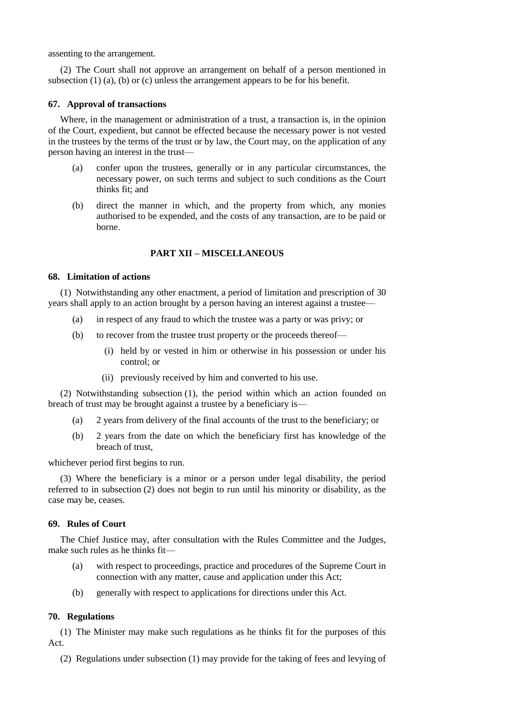assenting to the arrangement.

(2) The Court shall not approve an arrangement on behalf of a person mentioned in subsection (1) (a), (b) or (c) unless the arrangement appears to be for his benefit.

### **67. Approval of transactions**

Where, in the management or administration of a trust, a transaction is, in the opinion of the Court, expedient, but cannot be effected because the necessary power is not vested in the trustees by the terms of the trust or by law, the Court may, on the application of any person having an interest in the trust—

- (a) confer upon the trustees, generally or in any particular circumstances, the necessary power, on such terms and subject to such conditions as the Court thinks fit; and
- (b) direct the manner in which, and the property from which, any monies authorised to be expended, and the costs of any transaction, are to be paid or borne.

# **PART XII – MISCELLANEOUS**

## **68. Limitation of actions**

(1) Notwithstanding any other enactment, a period of limitation and prescription of 30 years shall apply to an action brought by a person having an interest against a trustee—

- (a) in respect of any fraud to which the trustee was a party or was privy; or
- (b) to recover from the trustee trust property or the proceeds thereof—
	- (i) held by or vested in him or otherwise in his possession or under his control; or
	- (ii) previously received by him and converted to his use.

(2) Notwithstanding subsection (1), the period within which an action founded on breach of trust may be brought against a trustee by a beneficiary is—

- (a) 2 years from delivery of the final accounts of the trust to the beneficiary; or
- (b) 2 years from the date on which the beneficiary first has knowledge of the breach of trust,

whichever period first begins to run.

(3) Where the beneficiary is a minor or a person under legal disability, the period referred to in subsection (2) does not begin to run until his minority or disability, as the case may be, ceases.

# **69. Rules of Court**

The Chief Justice may, after consultation with the Rules Committee and the Judges, make such rules as he thinks fit—

- (a) with respect to proceedings, practice and procedures of the Supreme Court in connection with any matter, cause and application under this Act;
- (b) generally with respect to applications for directions under this Act.

# **70. Regulations**

(1) The Minister may make such regulations as he thinks fit for the purposes of this Act.

(2) Regulations under subsection (1) may provide for the taking of fees and levying of